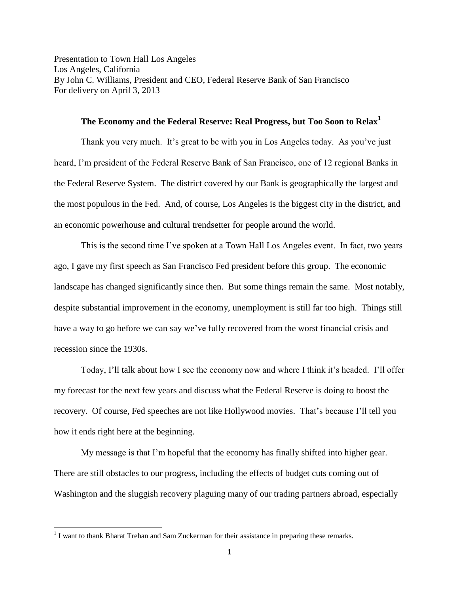Presentation to Town Hall Los Angeles Los Angeles, California By John C. Williams, President and CEO, Federal Reserve Bank of San Francisco For delivery on April 3, 2013

## **The Economy and the Federal Reserve: Real Progress, but Too Soon to Relax<sup>1</sup>**

Thank you very much. It's great to be with you in Los Angeles today. As you've just heard, I'm president of the Federal Reserve Bank of San Francisco, one of 12 regional Banks in the Federal Reserve System. The district covered by our Bank is geographically the largest and the most populous in the Fed. And, of course, Los Angeles is the biggest city in the district, and an economic powerhouse and cultural trendsetter for people around the world.

This is the second time I've spoken at a Town Hall Los Angeles event. In fact, two years ago, I gave my first speech as San Francisco Fed president before this group. The economic landscape has changed significantly since then. But some things remain the same. Most notably, despite substantial improvement in the economy, unemployment is still far too high. Things still have a way to go before we can say we've fully recovered from the worst financial crisis and recession since the 1930s.

Today, I'll talk about how I see the economy now and where I think it's headed. I'll offer my forecast for the next few years and discuss what the Federal Reserve is doing to boost the recovery. Of course, Fed speeches are not like Hollywood movies. That's because I'll tell you how it ends right here at the beginning.

My message is that I'm hopeful that the economy has finally shifted into higher gear. There are still obstacles to our progress, including the effects of budget cuts coming out of Washington and the sluggish recovery plaguing many of our trading partners abroad, especially

 $<sup>1</sup>$  I want to thank Bharat Trehan and Sam Zuckerman for their assistance in preparing these remarks.</sup>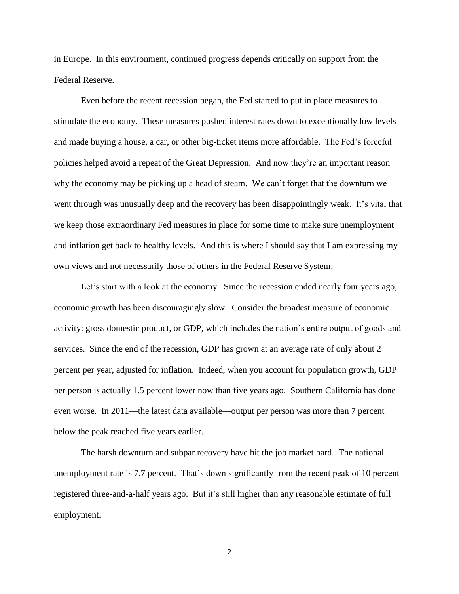in Europe. In this environment, continued progress depends critically on support from the Federal Reserve.

Even before the recent recession began, the Fed started to put in place measures to stimulate the economy. These measures pushed interest rates down to exceptionally low levels and made buying a house, a car, or other big-ticket items more affordable. The Fed's forceful policies helped avoid a repeat of the Great Depression. And now they're an important reason why the economy may be picking up a head of steam. We can't forget that the downturn we went through was unusually deep and the recovery has been disappointingly weak. It's vital that we keep those extraordinary Fed measures in place for some time to make sure unemployment and inflation get back to healthy levels. And this is where I should say that I am expressing my own views and not necessarily those of others in the Federal Reserve System.

Let's start with a look at the economy. Since the recession ended nearly four years ago, economic growth has been discouragingly slow. Consider the broadest measure of economic activity: gross domestic product, or GDP, which includes the nation's entire output of goods and services. Since the end of the recession, GDP has grown at an average rate of only about 2 percent per year, adjusted for inflation. Indeed, when you account for population growth, GDP per person is actually 1.5 percent lower now than five years ago. Southern California has done even worse. In 2011—the latest data available—output per person was more than 7 percent below the peak reached five years earlier.

The harsh downturn and subpar recovery have hit the job market hard. The national unemployment rate is 7.7 percent. That's down significantly from the recent peak of 10 percent registered three-and-a-half years ago. But it's still higher than any reasonable estimate of full employment.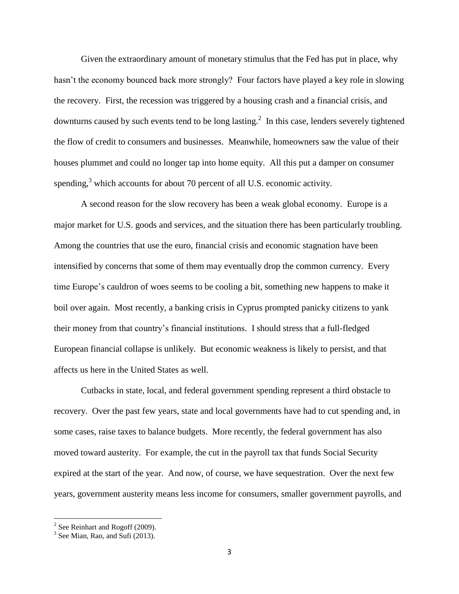Given the extraordinary amount of monetary stimulus that the Fed has put in place, why hasn't the economy bounced back more strongly? Four factors have played a key role in slowing the recovery. First, the recession was triggered by a housing crash and a financial crisis, and downturns caused by such events tend to be long lasting.<sup>2</sup> In this case, lenders severely tightened the flow of credit to consumers and businesses. Meanwhile, homeowners saw the value of their houses plummet and could no longer tap into home equity. All this put a damper on consumer spending,<sup>3</sup> which accounts for about 70 percent of all U.S. economic activity.

A second reason for the slow recovery has been a weak global economy. Europe is a major market for U.S. goods and services, and the situation there has been particularly troubling. Among the countries that use the euro, financial crisis and economic stagnation have been intensified by concerns that some of them may eventually drop the common currency. Every time Europe's cauldron of woes seems to be cooling a bit, something new happens to make it boil over again. Most recently, a banking crisis in Cyprus prompted panicky citizens to yank their money from that country's financial institutions. I should stress that a full-fledged European financial collapse is unlikely. But economic weakness is likely to persist, and that affects us here in the United States as well.

Cutbacks in state, local, and federal government spending represent a third obstacle to recovery. Over the past few years, state and local governments have had to cut spending and, in some cases, raise taxes to balance budgets. More recently, the federal government has also moved toward austerity. For example, the cut in the payroll tax that funds Social Security expired at the start of the year. And now, of course, we have sequestration. Over the next few years, government austerity means less income for consumers, smaller government payrolls, and

<sup>&</sup>lt;sup>2</sup> See Reinhart and Rogoff (2009).

<sup>&</sup>lt;sup>3</sup> See Mian, Rao, and Sufi (2013).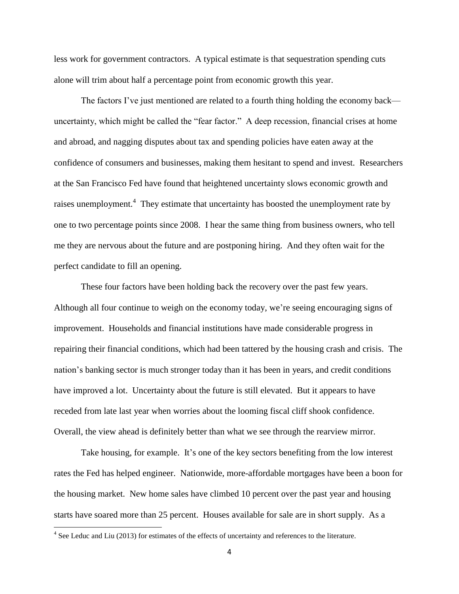less work for government contractors. A typical estimate is that sequestration spending cuts alone will trim about half a percentage point from economic growth this year.

The factors I've just mentioned are related to a fourth thing holding the economy back uncertainty, which might be called the "fear factor." A deep recession, financial crises at home and abroad, and nagging disputes about tax and spending policies have eaten away at the confidence of consumers and businesses, making them hesitant to spend and invest. Researchers at the San Francisco Fed have found that heightened uncertainty slows economic growth and raises unemployment.<sup>4</sup> They estimate that uncertainty has boosted the unemployment rate by one to two percentage points since 2008. I hear the same thing from business owners, who tell me they are nervous about the future and are postponing hiring. And they often wait for the perfect candidate to fill an opening.

These four factors have been holding back the recovery over the past few years. Although all four continue to weigh on the economy today, we're seeing encouraging signs of improvement. Households and financial institutions have made considerable progress in repairing their financial conditions, which had been tattered by the housing crash and crisis. The nation's banking sector is much stronger today than it has been in years, and credit conditions have improved a lot. Uncertainty about the future is still elevated. But it appears to have receded from late last year when worries about the looming fiscal cliff shook confidence. Overall, the view ahead is definitely better than what we see through the rearview mirror.

Take housing, for example. It's one of the key sectors benefiting from the low interest rates the Fed has helped engineer. Nationwide, more-affordable mortgages have been a boon for the housing market. New home sales have climbed 10 percent over the past year and housing starts have soared more than 25 percent. Houses available for sale are in short supply. As a

 $4$  See Leduc and Liu (2013) for estimates of the effects of uncertainty and references to the literature.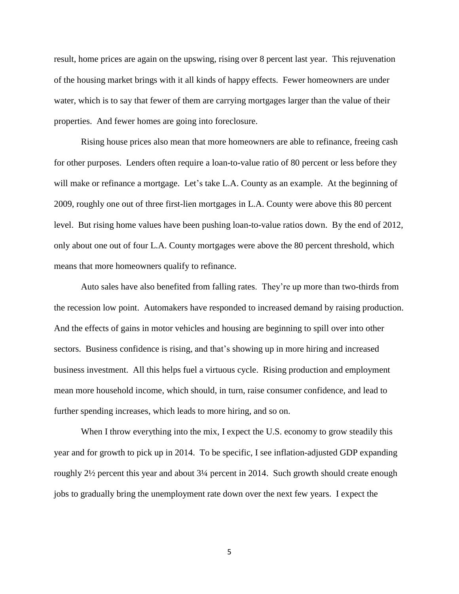result, home prices are again on the upswing, rising over 8 percent last year. This rejuvenation of the housing market brings with it all kinds of happy effects. Fewer homeowners are under water, which is to say that fewer of them are carrying mortgages larger than the value of their properties. And fewer homes are going into foreclosure.

Rising house prices also mean that more homeowners are able to refinance, freeing cash for other purposes. Lenders often require a loan-to-value ratio of 80 percent or less before they will make or refinance a mortgage. Let's take L.A. County as an example. At the beginning of 2009, roughly one out of three first-lien mortgages in L.A. County were above this 80 percent level. But rising home values have been pushing loan-to-value ratios down. By the end of 2012, only about one out of four L.A. County mortgages were above the 80 percent threshold, which means that more homeowners qualify to refinance.

Auto sales have also benefited from falling rates. They're up more than two-thirds from the recession low point. Automakers have responded to increased demand by raising production. And the effects of gains in motor vehicles and housing are beginning to spill over into other sectors. Business confidence is rising, and that's showing up in more hiring and increased business investment. All this helps fuel a virtuous cycle. Rising production and employment mean more household income, which should, in turn, raise consumer confidence, and lead to further spending increases, which leads to more hiring, and so on.

When I throw everything into the mix, I expect the U.S. economy to grow steadily this year and for growth to pick up in 2014. To be specific, I see inflation-adjusted GDP expanding roughly 2½ percent this year and about 3¼ percent in 2014. Such growth should create enough jobs to gradually bring the unemployment rate down over the next few years. I expect the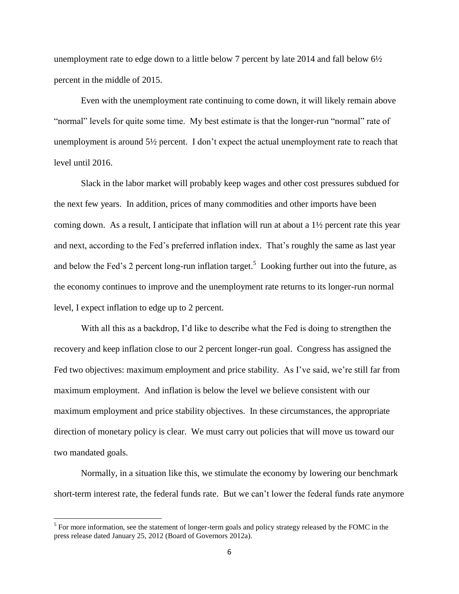unemployment rate to edge down to a little below 7 percent by late 2014 and fall below  $6\frac{1}{2}$ percent in the middle of 2015.

Even with the unemployment rate continuing to come down, it will likely remain above "normal" levels for quite some time. My best estimate is that the longer-run "normal" rate of unemployment is around  $5\frac{1}{2}$  percent. I don't expect the actual unemployment rate to reach that level until 2016.

Slack in the labor market will probably keep wages and other cost pressures subdued for the next few years. In addition, prices of many commodities and other imports have been coming down. As a result, I anticipate that inflation will run at about a 1½ percent rate this year and next, according to the Fed's preferred inflation index. That's roughly the same as last year and below the Fed's 2 percent long-run inflation target.<sup>5</sup> Looking further out into the future, as the economy continues to improve and the unemployment rate returns to its longer-run normal level, I expect inflation to edge up to 2 percent.

With all this as a backdrop, I'd like to describe what the Fed is doing to strengthen the recovery and keep inflation close to our 2 percent longer-run goal. Congress has assigned the Fed two objectives: maximum employment and price stability. As I've said, we're still far from maximum employment. And inflation is below the level we believe consistent with our maximum employment and price stability objectives. In these circumstances, the appropriate direction of monetary policy is clear. We must carry out policies that will move us toward our two mandated goals.

Normally, in a situation like this, we stimulate the economy by lowering our benchmark short-term interest rate, the federal funds rate. But we can't lower the federal funds rate anymore

 $<sup>5</sup>$  For more information, see the statement of longer-term goals and policy strategy released by the FOMC in the</sup> press release dated January 25, 2012 (Board of Governors 2012a).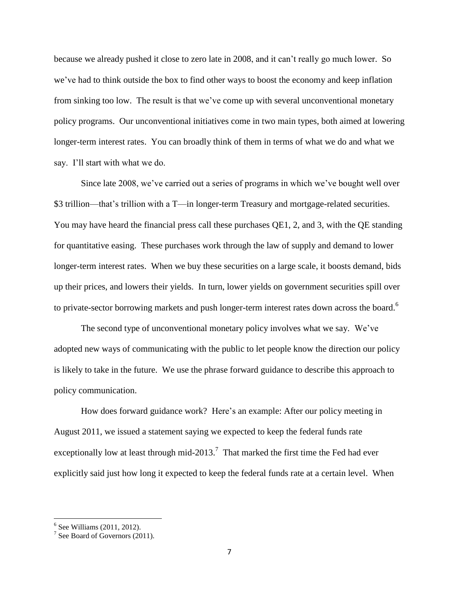because we already pushed it close to zero late in 2008, and it can't really go much lower. So we've had to think outside the box to find other ways to boost the economy and keep inflation from sinking too low. The result is that we've come up with several unconventional monetary policy programs. Our unconventional initiatives come in two main types, both aimed at lowering longer-term interest rates. You can broadly think of them in terms of what we do and what we say. I'll start with what we do.

Since late 2008, we've carried out a series of programs in which we've bought well over \$3 trillion—that's trillion with a T—in longer-term Treasury and mortgage-related securities. You may have heard the financial press call these purchases QE1, 2, and 3, with the QE standing for quantitative easing. These purchases work through the law of supply and demand to lower longer-term interest rates. When we buy these securities on a large scale, it boosts demand, bids up their prices, and lowers their yields. In turn, lower yields on government securities spill over to private-sector borrowing markets and push longer-term interest rates down across the board.<sup>6</sup>

The second type of unconventional monetary policy involves what we say. We've adopted new ways of communicating with the public to let people know the direction our policy is likely to take in the future. We use the phrase forward guidance to describe this approach to policy communication.

How does forward guidance work? Here's an example: After our policy meeting in August 2011, we issued a statement saying we expected to keep the federal funds rate exceptionally low at least through mid-2013.<sup>7</sup> That marked the first time the Fed had ever explicitly said just how long it expected to keep the federal funds rate at a certain level. When

 6 See Williams (2011, 2012).

 $7$  See Board of Governors (2011).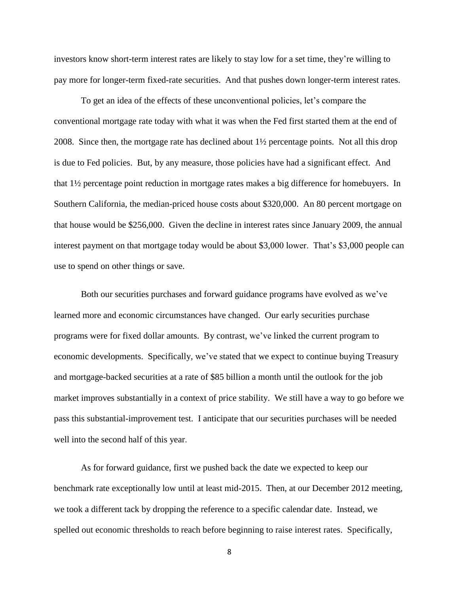investors know short-term interest rates are likely to stay low for a set time, they're willing to pay more for longer-term fixed-rate securities. And that pushes down longer-term interest rates.

To get an idea of the effects of these unconventional policies, let's compare the conventional mortgage rate today with what it was when the Fed first started them at the end of 2008. Since then, the mortgage rate has declined about 1½ percentage points. Not all this drop is due to Fed policies. But, by any measure, those policies have had a significant effect. And that 1½ percentage point reduction in mortgage rates makes a big difference for homebuyers. In Southern California, the median-priced house costs about \$320,000. An 80 percent mortgage on that house would be \$256,000. Given the decline in interest rates since January 2009, the annual interest payment on that mortgage today would be about \$3,000 lower. That's \$3,000 people can use to spend on other things or save.

Both our securities purchases and forward guidance programs have evolved as we've learned more and economic circumstances have changed. Our early securities purchase programs were for fixed dollar amounts. By contrast, we've linked the current program to economic developments. Specifically, we've stated that we expect to continue buying Treasury and mortgage-backed securities at a rate of \$85 billion a month until the outlook for the job market improves substantially in a context of price stability. We still have a way to go before we pass this substantial-improvement test. I anticipate that our securities purchases will be needed well into the second half of this year.

As for forward guidance, first we pushed back the date we expected to keep our benchmark rate exceptionally low until at least mid-2015. Then, at our December 2012 meeting, we took a different tack by dropping the reference to a specific calendar date. Instead, we spelled out economic thresholds to reach before beginning to raise interest rates. Specifically,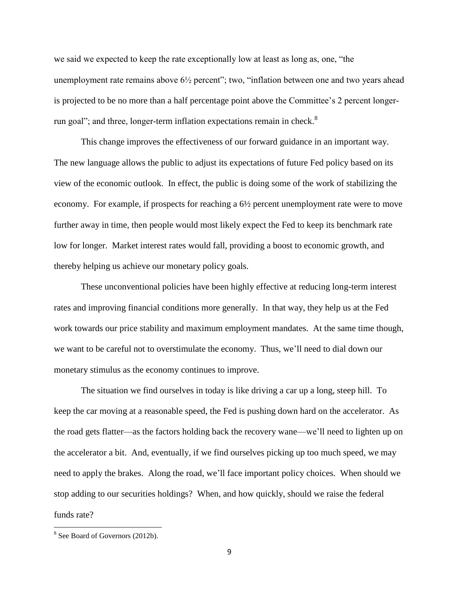we said we expected to keep the rate exceptionally low at least as long as, one, "the unemployment rate remains above  $6\frac{1}{2}$  percent"; two, "inflation between one and two years ahead is projected to be no more than a half percentage point above the Committee's 2 percent longerrun goal"; and three, longer-term inflation expectations remain in check.<sup>8</sup>

This change improves the effectiveness of our forward guidance in an important way. The new language allows the public to adjust its expectations of future Fed policy based on its view of the economic outlook. In effect, the public is doing some of the work of stabilizing the economy. For example, if prospects for reaching a 6½ percent unemployment rate were to move further away in time, then people would most likely expect the Fed to keep its benchmark rate low for longer. Market interest rates would fall, providing a boost to economic growth, and thereby helping us achieve our monetary policy goals.

These unconventional policies have been highly effective at reducing long-term interest rates and improving financial conditions more generally. In that way, they help us at the Fed work towards our price stability and maximum employment mandates. At the same time though, we want to be careful not to overstimulate the economy. Thus, we'll need to dial down our monetary stimulus as the economy continues to improve.

The situation we find ourselves in today is like driving a car up a long, steep hill. To keep the car moving at a reasonable speed, the Fed is pushing down hard on the accelerator. As the road gets flatter—as the factors holding back the recovery wane—we'll need to lighten up on the accelerator a bit. And, eventually, if we find ourselves picking up too much speed, we may need to apply the brakes. Along the road, we'll face important policy choices. When should we stop adding to our securities holdings? When, and how quickly, should we raise the federal funds rate?

<sup>&</sup>lt;sup>8</sup> See Board of Governors (2012b).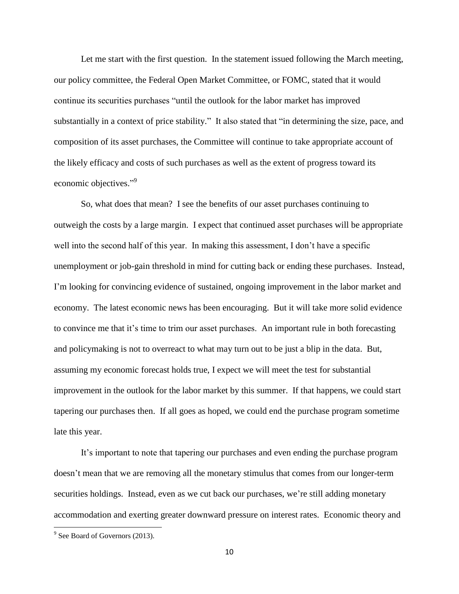Let me start with the first question. In the statement issued following the March meeting, our policy committee, the Federal Open Market Committee, or FOMC, stated that it would continue its securities purchases "until the outlook for the labor market has improved substantially in a context of price stability." It also stated that "in determining the size, pace, and composition of its asset purchases, the Committee will continue to take appropriate account of the likely efficacy and costs of such purchases as well as the extent of progress toward its economic objectives."<sup>9</sup>

So, what does that mean? I see the benefits of our asset purchases continuing to outweigh the costs by a large margin. I expect that continued asset purchases will be appropriate well into the second half of this year. In making this assessment, I don't have a specific unemployment or job-gain threshold in mind for cutting back or ending these purchases. Instead, I'm looking for convincing evidence of sustained, ongoing improvement in the labor market and economy. The latest economic news has been encouraging. But it will take more solid evidence to convince me that it's time to trim our asset purchases. An important rule in both forecasting and policymaking is not to overreact to what may turn out to be just a blip in the data. But, assuming my economic forecast holds true, I expect we will meet the test for substantial improvement in the outlook for the labor market by this summer. If that happens, we could start tapering our purchases then. If all goes as hoped, we could end the purchase program sometime late this year.

It's important to note that tapering our purchases and even ending the purchase program doesn't mean that we are removing all the monetary stimulus that comes from our longer-term securities holdings. Instead, even as we cut back our purchases, we're still adding monetary accommodation and exerting greater downward pressure on interest rates. Economic theory and

 $9^9$  See Board of Governors (2013).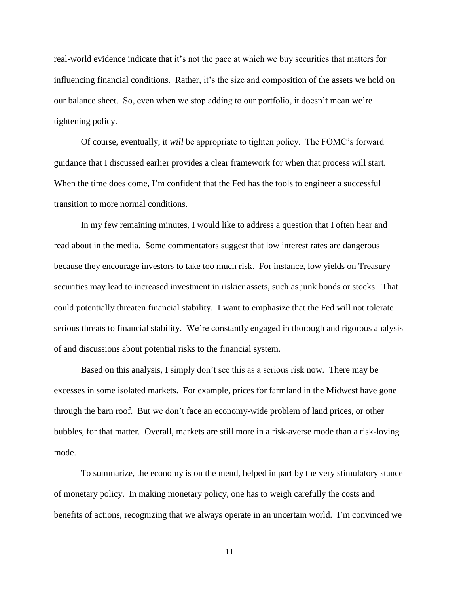real-world evidence indicate that it's not the pace at which we buy securities that matters for influencing financial conditions. Rather, it's the size and composition of the assets we hold on our balance sheet. So, even when we stop adding to our portfolio, it doesn't mean we're tightening policy.

Of course, eventually, it *will* be appropriate to tighten policy. The FOMC's forward guidance that I discussed earlier provides a clear framework for when that process will start. When the time does come, I'm confident that the Fed has the tools to engineer a successful transition to more normal conditions.

In my few remaining minutes, I would like to address a question that I often hear and read about in the media. Some commentators suggest that low interest rates are dangerous because they encourage investors to take too much risk. For instance, low yields on Treasury securities may lead to increased investment in riskier assets, such as junk bonds or stocks. That could potentially threaten financial stability. I want to emphasize that the Fed will not tolerate serious threats to financial stability. We're constantly engaged in thorough and rigorous analysis of and discussions about potential risks to the financial system.

Based on this analysis, I simply don't see this as a serious risk now. There may be excesses in some isolated markets. For example, prices for farmland in the Midwest have gone through the barn roof. But we don't face an economy-wide problem of land prices, or other bubbles, for that matter. Overall, markets are still more in a risk-averse mode than a risk-loving mode.

To summarize, the economy is on the mend, helped in part by the very stimulatory stance of monetary policy. In making monetary policy, one has to weigh carefully the costs and benefits of actions, recognizing that we always operate in an uncertain world. I'm convinced we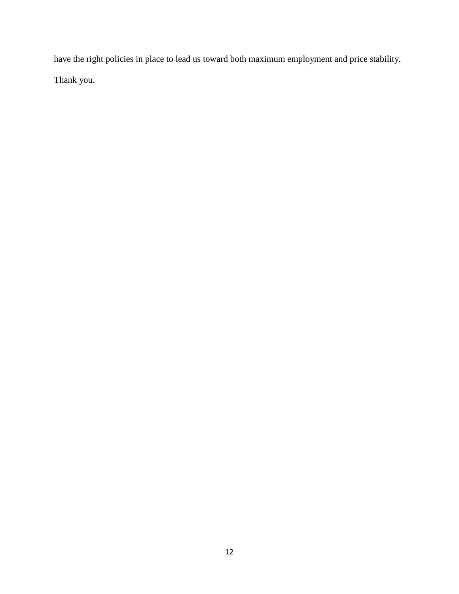have the right policies in place to lead us toward both maximum employment and price stability. Thank you.